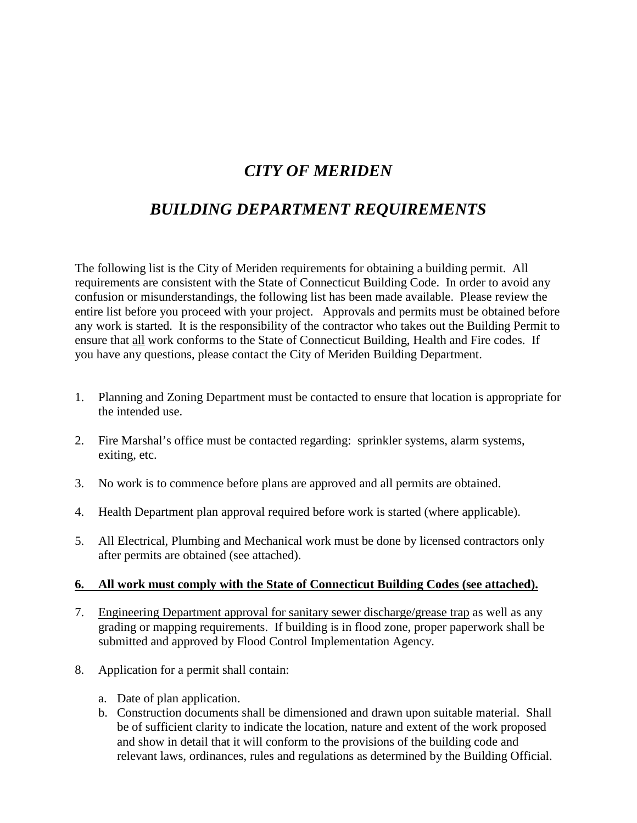## *CITY OF MERIDEN*

## *BUILDING DEPARTMENT REQUIREMENTS*

The following list is the City of Meriden requirements for obtaining a building permit. All requirements are consistent with the State of Connecticut Building Code. In order to avoid any confusion or misunderstandings, the following list has been made available. Please review the entire list before you proceed with your project. Approvals and permits must be obtained before any work is started. It is the responsibility of the contractor who takes out the Building Permit to ensure that all work conforms to the State of Connecticut Building, Health and Fire codes. If you have any questions, please contact the City of Meriden Building Department.

- 1. Planning and Zoning Department must be contacted to ensure that location is appropriate for the intended use.
- 2. Fire Marshal's office must be contacted regarding: sprinkler systems, alarm systems, exiting, etc.
- 3. No work is to commence before plans are approved and all permits are obtained.
- 4. Health Department plan approval required before work is started (where applicable).
- 5. All Electrical, Plumbing and Mechanical work must be done by licensed contractors only after permits are obtained (see attached).

## **6. All work must comply with the State of Connecticut Building Codes (see attached).**

- 7. Engineering Department approval for sanitary sewer discharge/grease trap as well as any grading or mapping requirements. If building is in flood zone, proper paperwork shall be submitted and approved by Flood Control Implementation Agency.
- 8. Application for a permit shall contain:
	- a. Date of plan application.
	- b. Construction documents shall be dimensioned and drawn upon suitable material. Shall be of sufficient clarity to indicate the location, nature and extent of the work proposed and show in detail that it will conform to the provisions of the building code and relevant laws, ordinances, rules and regulations as determined by the Building Official.